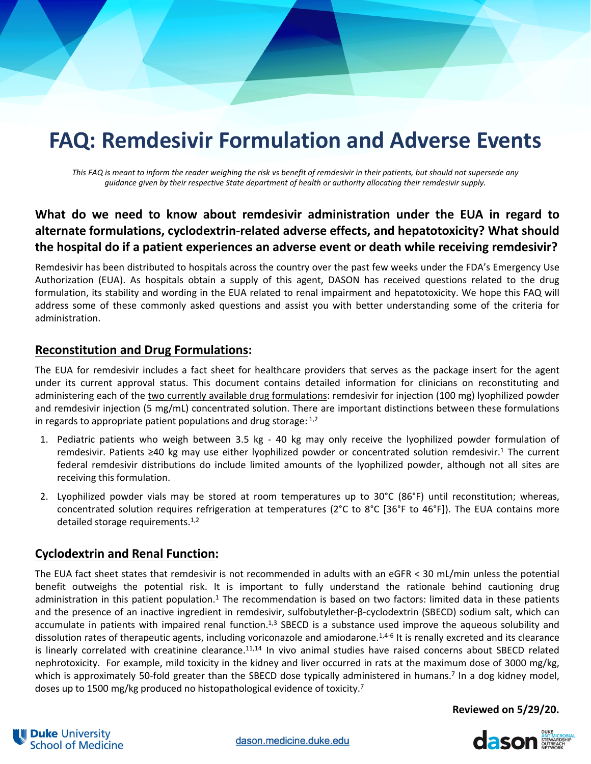# **FAQ: Remdesivir Formulation and Adverse Events**

This FAQ is meant to inform the reader weighing the risk vs benefit of remdesivir in their patients, but should not supersede any *guidance given by their respective State department of health or authority allocating their remdesivir supply.*

## **What do we need to know about remdesivir administration under the EUA in regard to alternate formulations, cyclodextrin‐related adverse effects, and hepatotoxicity? What should the hospital do if a patient experiences an adverse event or death while receiving remdesivir?**

Remdesivir has been distributed to hospitals across the country over the past few weeks under the FDA's Emergency Use Authorization (EUA). As hospitals obtain a supply of this agent, DASON has received questions related to the drug formulation, its stability and wording in the EUA related to renal impairment and hepatotoxicity. We hope this FAQ will address some of these commonly asked questions and assist you with better understanding some of the criteria for administration.

## **Reconstitution and Drug Formulations:**

The EUA for remdesivir includes a fact sheet for healthcare providers that serves as the package insert for the agent under its current approval status. This document contains detailed information for clinicians on reconstituting and administering each of the two currently available drug formulations: remdesivir for injection (100 mg) lyophilized powder and remdesivir injection (5 mg/mL) concentrated solution. There are important distinctions between these formulations in regards to appropriate patient populations and drug storage:  $1,2$ 

- 1. Pediatric patients who weigh between 3.5 kg ‐ 40 kg may only receive the lyophilized powder formulation of remdesivir. Patients ≥40 kg may use either lyophilized powder or concentrated solution remdesivir.1 The current federal remdesivir distributions do include limited amounts of the lyophilized powder, although not all sites are receiving this formulation.
- 2. Lyophilized powder vials may be stored at room temperatures up to 30°C (86°F) until reconstitution; whereas, concentrated solution requires refrigeration at temperatures (2°C to 8°C [36°F to 46°F]). The EUA contains more detailed storage requirements. $1,2$

## **Cyclodextrin and Renal Function:**

The EUA fact sheet states that remdesivir is not recommended in adults with an eGFR < 30 mL/min unless the potential benefit outweighs the potential risk. It is important to fully understand the rationale behind cautioning drug administration in this patient population.<sup>1</sup> The recommendation is based on two factors: limited data in these patients and the presence of an inactive ingredient in remdesivir, sulfobutylether‐β‐cyclodextrin (SBECD) sodium salt, which can accumulate in patients with impaired renal function.<sup>1,3</sup> SBECD is a substance used improve the aqueous solubility and dissolution rates of therapeutic agents, including voriconazole and amiodarone.<sup>1,4-6</sup> It is renally excreted and its clearance is linearly correlated with creatinine clearance.<sup>11,14</sup> In vivo animal studies have raised concerns about SBECD related nephrotoxicity. For example, mild toxicity in the kidney and liver occurred in rats at the maximum dose of 3000 mg/kg, which is approximately 50-fold greater than the SBECD dose typically administered in humans.<sup>7</sup> In a dog kidney model, doses up to 1500 mg/kg produced no histopathological evidence of toxicity.7

**Reviewed on 5/29/20.**